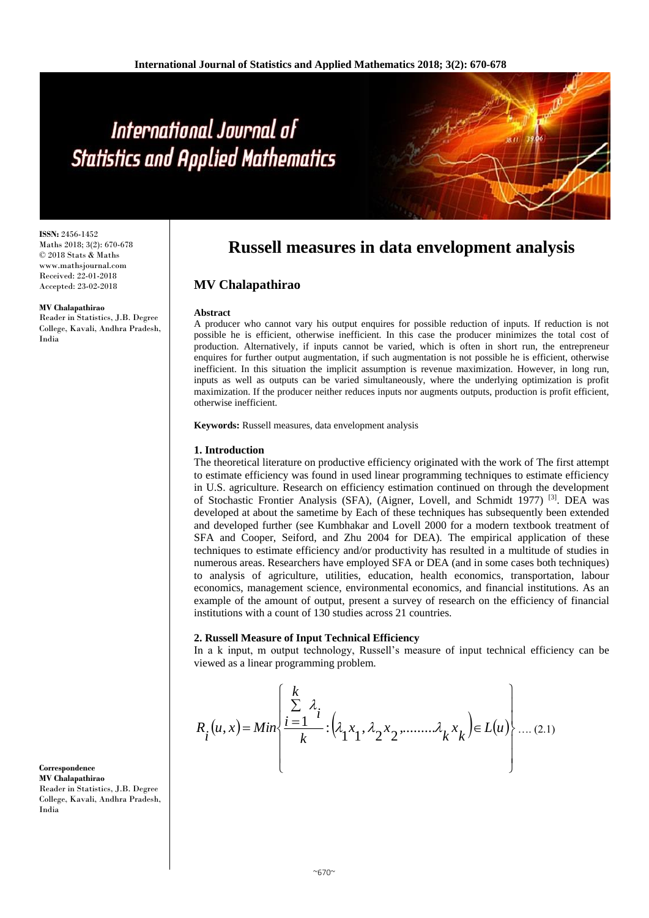**ISSN:** 2456-1452 Maths 2018; 3(2): 670-678 © 2018 Stats & Maths www.mathsjournal.com Received: 22-01-2018 Accepted: 23-02-2018

**MV Chalapathirao**

Reader in Statistics, J.B. Degree College, Kavali, Andhra Pradesh, India

# **Russell measures in data envelopment analysis**

# **MV Chalapathirao**

#### **Abstract**

A producer who cannot vary his output enquires for possible reduction of inputs. If reduction is not possible he is efficient, otherwise inefficient. In this case the producer minimizes the total cost of production. Alternatively, if inputs cannot be varied, which is often in short run, the entrepreneur enquires for further output augmentation, if such augmentation is not possible he is efficient, otherwise inefficient. In this situation the implicit assumption is revenue maximization. However, in long run, inputs as well as outputs can be varied simultaneously, where the underlying optimization is profit maximization. If the producer neither reduces inputs nor augments outputs, production is profit efficient, otherwise inefficient.

**Keywords:** Russell measures, data envelopment analysis

### **1. Introduction**

The theoretical literature on productive efficiency originated with the work of The first attempt to estimate efficiency was found in used linear programming techniques to estimate efficiency in U.S. agriculture. Research on efficiency estimation continued on through the development of Stochastic Frontier Analysis (SFA), (Aigner, Lovell, and Schmidt 1977)<sup>[3]</sup>. DEA was developed at about the sametime by Each of these techniques has subsequently been extended and developed further (see Kumbhakar and Lovell 2000 for a modern textbook treatment of SFA and Cooper, Seiford, and Zhu 2004 for DEA). The empirical application of these techniques to estimate efficiency and/or productivity has resulted in a multitude of studies in numerous areas. Researchers have employed SFA or DEA (and in some cases both techniques) to analysis of agriculture, utilities, education, health economics, transportation, labour economics, management science, environmental economics, and financial institutions. As an example of the amount of output, present a survey of research on the efficiency of financial institutions with a count of 130 studies across 21 countries.

#### **2. Russell Measure of Input Technical Efficiency**

In a k input, m output technology, Russell's measure of input technical efficiency can be viewed as a linear programming problem.

$$
R_i(u, x) = Min \left\{ \frac{\sum_{i=1}^{k} \lambda_i}{k} \cdot \left(\lambda_1 x_1, \lambda_2 x_2, \dots, \lambda_k x_k\right) \in L(u) \right\} \dots (2.1)
$$

**Correspondence MV Chalapathirao** Reader in Statistics, J.B. Degree College, Kavali, Andhra Pradesh, India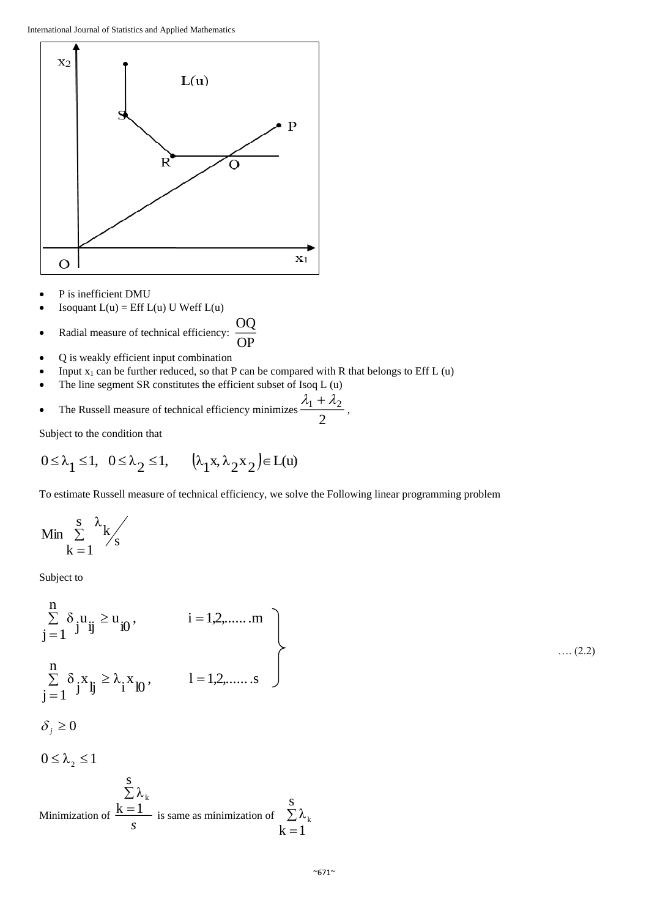

- P is inefficient DMU
- Isoquant  $L(u) = Eff L(u)$  U Weff  $L(u)$

• Radial measure of technical efficiency: 
$$
\frac{OQ}{OP}
$$

- Q is weakly efficient input combination
- Input  $x_1$  can be further reduced, so that P can be compared with R that belongs to Eff L (u)
- The line segment SR constitutes the efficient subset of Isoq L (u)

• The Russell measure of technical efficiency minimizes 
$$
\frac{\lambda_1 + \lambda_2}{2}
$$
,

Subject to the condition that

$$
0 \le \lambda_1 \le 1, \quad 0 \le \lambda_2 \le 1, \qquad \left(\lambda_1 x, \lambda_2 x_2\right) \in L(u)
$$

To estimate Russell measure of technical efficiency, we solve the Following linear programming problem

$$
Min\sum_{k\,=\,1}^s\frac{\lambda_k}{s}
$$

Subject to

$$
\sum_{j=1}^{n} \delta_{j} u_{jj} \geq u_{j0}, \qquad i = 1, 2, \dots, m
$$
\n
$$
\sum_{j=1}^{n} \delta_{j} x_{jj} \geq \lambda_{i} x_{j0}, \qquad l = 1, 2, \dots, s
$$
\n
$$
\delta_{j} \geq 0
$$
\n
$$
0 \leq \lambda_{2} \leq 1
$$
\n
$$
\sum_{j=1}^{s} \lambda_{k}
$$
\nMinimization of  $\frac{k=1}{s}$  is same as minimization of  $\sum_{k=1}^{s} \lambda_{k}$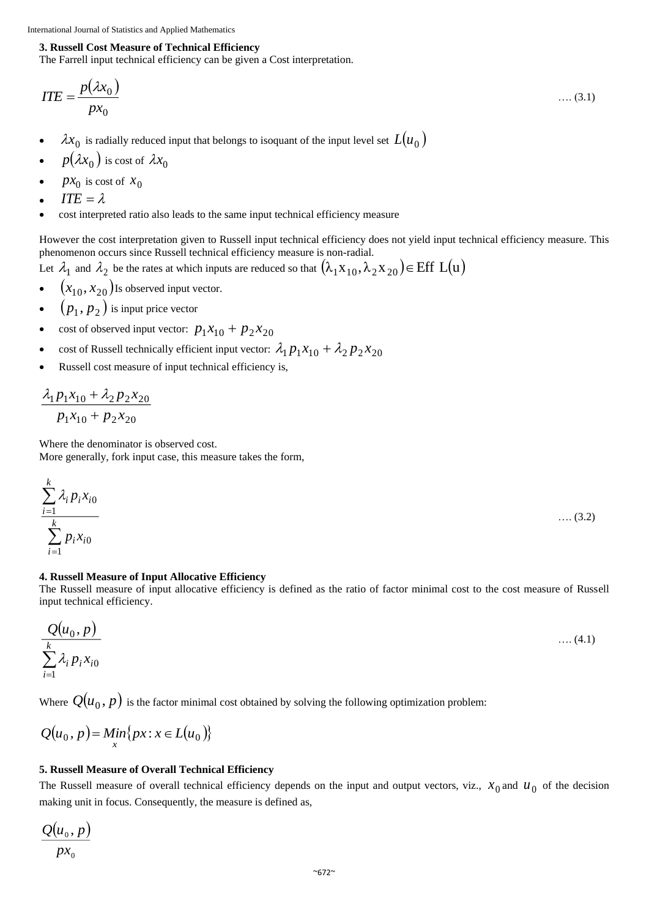## **3. Russell Cost Measure of Technical Efficiency**

The Farrell input technical efficiency can be given a Cost interpretation.

$$
ITE = \frac{p(\lambda x_0)}{px_0} \tag{3.1}
$$

- $\lambda x_0$  is radially reduced input that belongs to isoquant of the input level set  $L(u_0)$
- $p(\lambda x_0)$  is cost of  $\lambda x_0$
- $px_0$  is cost of  $x_0$
- *ITE* =  $\lambda$
- cost interpreted ratio also leads to the same input technical efficiency measure

However the cost interpretation given to Russell input technical efficiency does not yield input technical efficiency measure. This phenomenon occurs since Russell technical efficiency measure is non-radial.

Let  $\lambda_1$  and  $\lambda_2$  be the rates at which inputs are reduced so that  $(\lambda_1x_{10},\lambda_2x_{20})$   $\in$  Eff L(u)

- $\bullet \quad (x_{10}, x_{20})$ Is observed input vector.
- $\bullet$   $(p_1, p_2)$  is input price vector
- cost of observed input vector:  $p_1x_{10} + p_2x_{20}$
- cost of Russell technically efficient input vector:  $\lambda_1 p_1 x_{10} + \lambda_2 p_2 x_{20}$
- Russell cost measure of input technical efficiency is,

$$
\frac{\lambda_1 p_1 x_{10} + \lambda_2 p_2 x_{20}}{p_1 x_{10} + p_2 x_{20}}
$$

Where the denominator is observed cost. More generally, fork input case, this measure takes the form,

$$
\sum_{i=1}^{k} \lambda_i p_i x_{i0} \qquad \qquad \dots (3.2)
$$

#### **4. Russell Measure of Input Allocative Efficiency**

The Russell measure of input allocative efficiency is defined as the ratio of factor minimal cost to the cost measure of Russell input technical efficiency.

$$
\frac{Q(u_0, p)}{\sum_{i=1}^k \lambda_i p_i x_{i0}} \qquad \qquad \dots (4.1)
$$

Where  $\mathit{Q}(u_0, p)$  is the factor minimal cost obtained by solving the following optimization problem:

$$
Q(u_0, p) = Min\{px : x \in L(u_0)\}
$$

# **5. Russell Measure of Overall Technical Efficiency**

The Russell measure of overall technical efficiency depends on the input and output vectors, viz.,  $x_0$  and  $u_0$  of the decision making unit in focus. Consequently, the measure is defined as,

$$
\frac{Q(u_0, p)}{px_0}
$$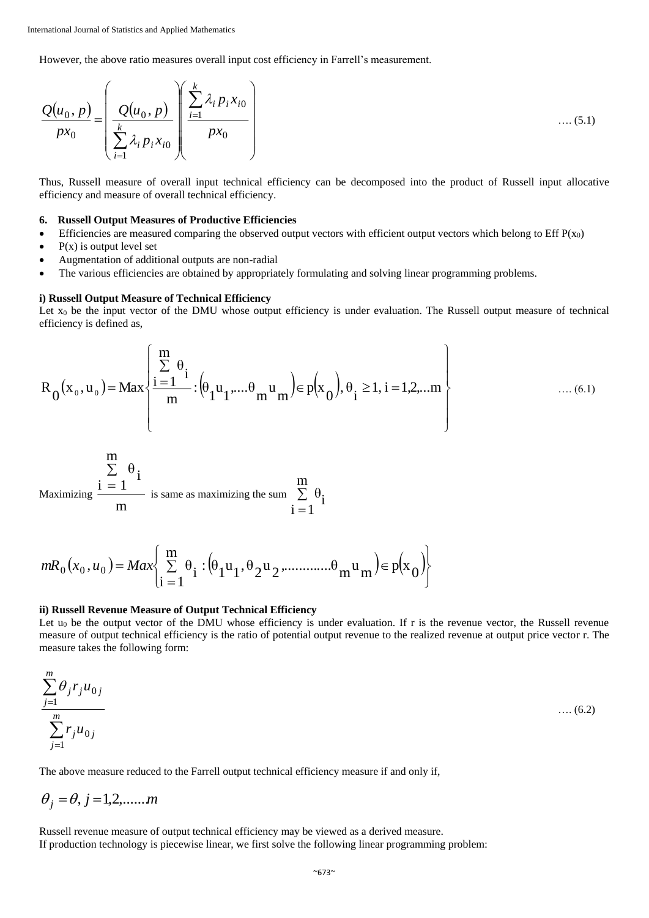However, the above ratio measures overall input cost efficiency in Farrell's measurement.

$$
\frac{Q(u_0, p)}{px_0} = \left(\frac{Q(u_0, p)}{\sum_{i=1}^k \lambda_i p_i x_{i0}} \right) \left(\frac{\sum_{i=1}^k \lambda_i p_i x_{i0}}{px_0}\right) \qquad \qquad \dots (5.1)
$$

Thus, Russell measure of overall input technical efficiency can be decomposed into the product of Russell input allocative efficiency and measure of overall technical efficiency.

## **6. Russell Output Measures of Productive Efficiencies**

- Efficiencies are measured comparing the observed output vectors with efficient output vectors which belong to Eff  $P(x_0)$
- $P(x)$  is output level set
- Augmentation of additional outputs are non-radial
- The various efficiencies are obtained by appropriately formulating and solving linear programming problems.

#### **i) Russell Output Measure of Technical Efficiency**

Let  $x_0$  be the input vector of the DMU whose output efficiency is under evaluation. The Russell output measure of technical efficiency is defined as,

$$
R_{0}(x_{0}, u_{0}) = Max \left\{ \frac{\sum_{i=1}^{m} \theta_{i}}{m} : (\theta_{1} u_{1}, ..., \theta_{m} u_{m}) \in p(x_{0}), \theta_{i} \ge 1, i = 1, 2, ... m \right\}
$$
 .... (6.1)

$$
\sum_{i=1}^{m} \theta_i
$$
  
Maximizing  $\frac{i = 1}{m}$  is same as maximizing the sum  $\sum_{i=1}^{m} \theta_i$ 

$$
mR_0(x_0, u_0) = Max \left\{ \sum_{i=1}^{m} \theta_i : (\theta_1 u_1, \theta_2 u_2, \dots, \theta_m u_m) \in p(x_0) \right\}
$$

#### **ii) Russell Revenue Measure of Output Technical Efficiency**

Let  $u_0$  be the output vector of the DMU whose efficiency is under evaluation. If r is the revenue vector, the Russell revenue measure of output technical efficiency is the ratio of potential output revenue to the realized revenue at output price vector r. The measure takes the following form:

$$
\frac{\sum_{j=1}^{m} \theta_j r_j u_{0j}}{\sum_{j=1}^{m} r_j u_{0j}}
$$
 .... (6.2)

The above measure reduced to the Farrell output technical efficiency measure if and only if,

$$
\theta_j = \theta, j = 1, 2, \dots, m
$$

Russell revenue measure of output technical efficiency may be viewed as a derived measure. If production technology is piecewise linear, we first solve the following linear programming problem: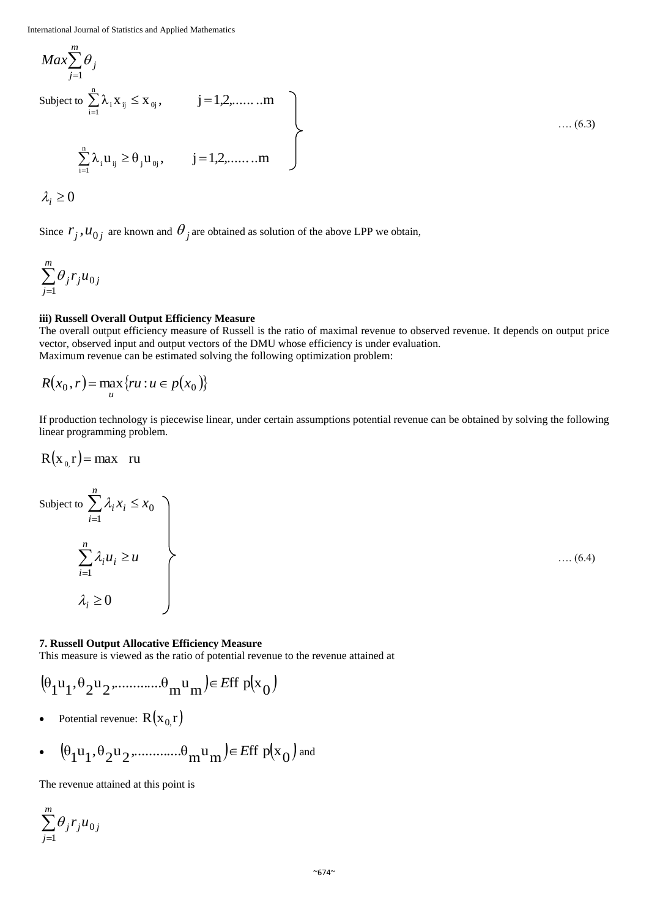$$
Max \sum_{j=1}^{m} \theta_j
$$
  
Subject to  $\sum_{i=1}^{n} \lambda_i X_{ij} \le X_{0j}$ ,  $j = 1, 2, \dots, m$   

$$
\sum_{i=1}^{n} \lambda_i u_{ij} \ge \theta_j u_{0j}
$$
,  $j = 1, 2, \dots, m$   
 $\lambda_j \ge 0$  (6.3)

Since  $r_j$ ,  $u_{0j}$  are known and  $\theta_j$  are obtained as solution of the above LPP we obtain,

$$
\sum_{j=1}^m \theta_j r_j u_{0j}
$$

*m*

# **iii) Russell Overall Output Efficiency Measure**

The overall output efficiency measure of Russell is the ratio of maximal revenue to observed revenue. It depends on output price vector, observed input and output vectors of the DMU whose efficiency is under evaluation. Maximum revenue can be estimated solving the following optimization problem:

$$
R(x_0, r) = \max_u \{ru : u \in p(x_0)\}
$$

If production technology is piecewise linear, under certain assumptions potential revenue can be obtained by solving the following linear programming problem.

$$
R(x_0,r) = \max \quad ru
$$

Subject to  $\sum \lambda_i x_i \leq x_0$ 1  $x_i \leq x$ *n i*  $\sum_{i=1} \lambda_i x_i \leq$  $\lambda$ :  $u_{\rm i} \geq u$ *n i*  $\sum \lambda_i u_i \geq$  $=1$  $\lambda$ .  $\lambda_i \geq 0$ 

…. (6.4)

# **7. Russell Output Allocative Efficiency Measure**

This measure is viewed as the ratio of potential revenue to the revenue attained at

$$
(\theta_1u_1,\theta_2u_2............\theta_mu_m)\!\in\! \mathit{Eff}~p(x_0)
$$

• Potential revenue:  $R(x_0, r)$ 

• 
$$
(\theta_1 u_1, \theta_2 u_2, \dots, \theta_m u_m) \in \text{Eff } p(x_0) \text{ and}
$$

The revenue attained at this point is

$$
\sum_{j=1}^m \theta_j r_j u_{0j}
$$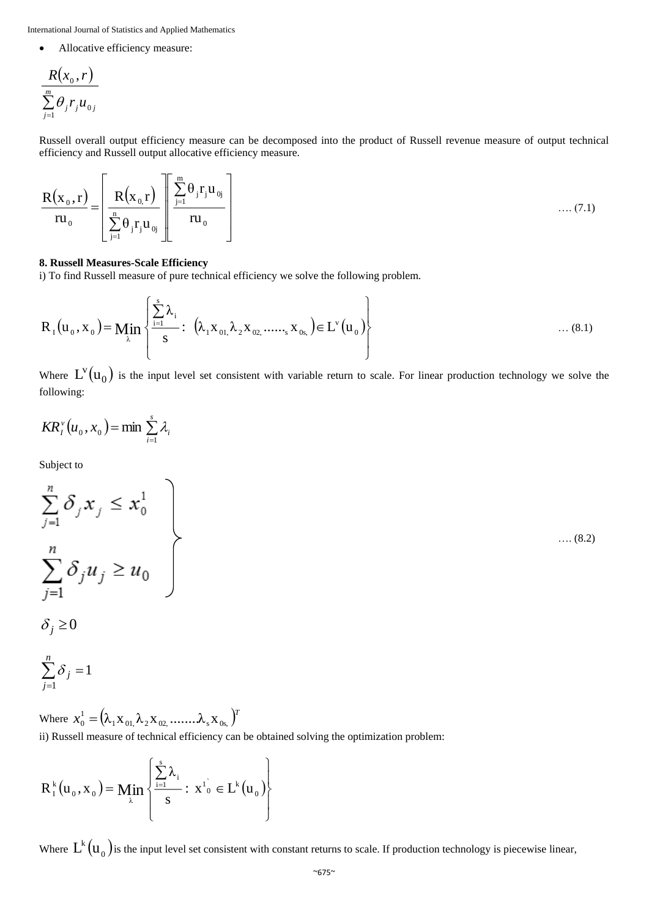Allocative efficiency measure:

$$
\frac{R(x_0,r)}{\sum\limits_{j=1}^m \theta_j r_j u_{0j}}
$$

Russell overall output efficiency measure can be decomposed into the product of Russell revenue measure of output technical efficiency and Russell output allocative efficiency measure.

$$
\frac{\mathbf{R}(\mathbf{x}_0, \mathbf{r})}{\mathbf{r} \mathbf{u}_0} = \left[ \frac{\mathbf{R}(\mathbf{x}_0, \mathbf{r})}{\sum_{j=1}^{n} \theta_j \mathbf{r}_j \mathbf{u}_{0j}} \right] \left[ \frac{\sum_{j=1}^{m} \theta_j \mathbf{r}_j \mathbf{u}_{0j}}{\mathbf{r} \mathbf{u}_0} \right] \tag{7.1}
$$

#### **8. Russell Measures-Scale Efficiency**

i) To find Russell measure of pure technical efficiency we solve the following problem.

$$
R_{I}(u_{0}, x_{0}) = \min_{\lambda} \left\{ \frac{\sum_{i=1}^{s} \lambda_{i}}{s} : (\lambda_{1} x_{01}, \lambda_{2} x_{02}, \dots, x_{0s}) \in L^{v}(u_{0}) \right\} \dots (8.1)
$$

Where  $L^v(u_0)$  is the input level set consistent with variable return to scale. For linear production technology we solve the following:

$$
KR_i^{\nu}(u_0, x_0) = \min \sum_{i=1}^s \lambda_i
$$

Subject to

$$
\sum_{j=1}^{n} \delta_j x_j \le x_0^1
$$
  

$$
\sum_{j=1}^{n} \delta_j u_j \ge u_0
$$

$$
\delta_j \ge 0
$$

$$
\sum_{j=1}^n \delta_j = 1
$$

Where  $x_0^1 = (\lambda_1 \mathbf{x}_{01}, \lambda_2 \mathbf{x}_{02}, \dots \dots \lambda_s \mathbf{x}_{0s_s})^T$  $\lambda_0^1 = (\lambda_1 \mathbf{X}_{01}, \lambda_2 \mathbf{X}_{02}, \dots \dots \lambda_s \mathbf{X}_{s}$ ii) Russell measure of technical efficiency can be obtained solving the optimization problem:

$$
R_1^k(u_0, x_0) = \min_{\lambda} \left\{ \frac{\sum_{i=1}^s \lambda_i}{s} : x^1_0 \in L^k(u_0) \right\}
$$

Where  $L^k(u_{_0})$ is the input level set consistent with constant returns to scale. If production technology is piecewise linear,

…. (8.2)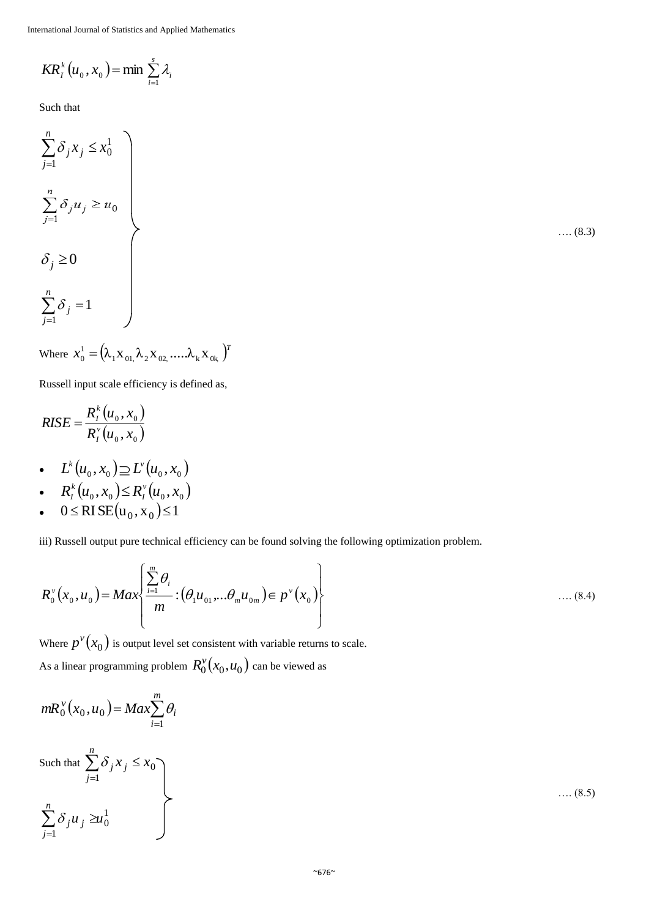$$
KR_t^k(u_0, x_0) = \min \sum_{i=1}^s \lambda_i
$$

Such that

$$
\sum_{j=1}^{n} \delta_j x_j \le x_0^1
$$
\n
$$
\sum_{j=1}^{n} \delta_j u_j \ge u_0
$$
\n
$$
\delta_j \ge 0
$$
\n
$$
\sum_{j=1}^{n} \delta_j = 1
$$

$$
\ldots . (8.3)
$$

Where 
$$
x_0^1 = (\lambda_1 \mathbf{x}_{01}, \lambda_2 \mathbf{x}_{02}, \dots, \lambda_k \mathbf{x}_{0k})^T
$$

Russell input scale efficiency is defined as,

$$
RISE = \frac{R_I^k(u_0, x_0)}{R_I^v(u_0, x_0)}
$$

- $L^k(u_0, x_0) \supseteq L^{\nu}(u_0, x_0)$
- $R_I^k(u_0, x_0) \leq R_I^v(u_0, x_0)$ *I*  $\frac{k}{I}(u_0, x_0) \leq$
- $0 \leq RISE(u_0, x_0) \leq 1$

iii) Russell output pure technical efficiency can be found solving the following optimization problem.

$$
R_0^{\nu}(x_0, u_0) = Max \left\{ \frac{\sum_{i=1}^{m} \theta_i}{m} : (\theta_1 u_{01}, \dots \theta_m u_{0m}) \in p^{\nu}(x_0) \right\} \dots (8.4)
$$

Where  $p^{\nu}(x_0)$  is output level set consistent with variable returns to scale. As a linear programming problem  $R_0^v(x_0, u_0)$  can be viewed as

$$
mR_0^v(x_0,u_0) = Max \sum_{i=1}^m \theta_i
$$

Such that 
$$
\sum_{j=1}^{n} \delta_j x_j \le x_0
$$

$$
\sum_{j=1}^{n} \delta_j u_j \ge u_0^1
$$

1 *j*

…. (8.5)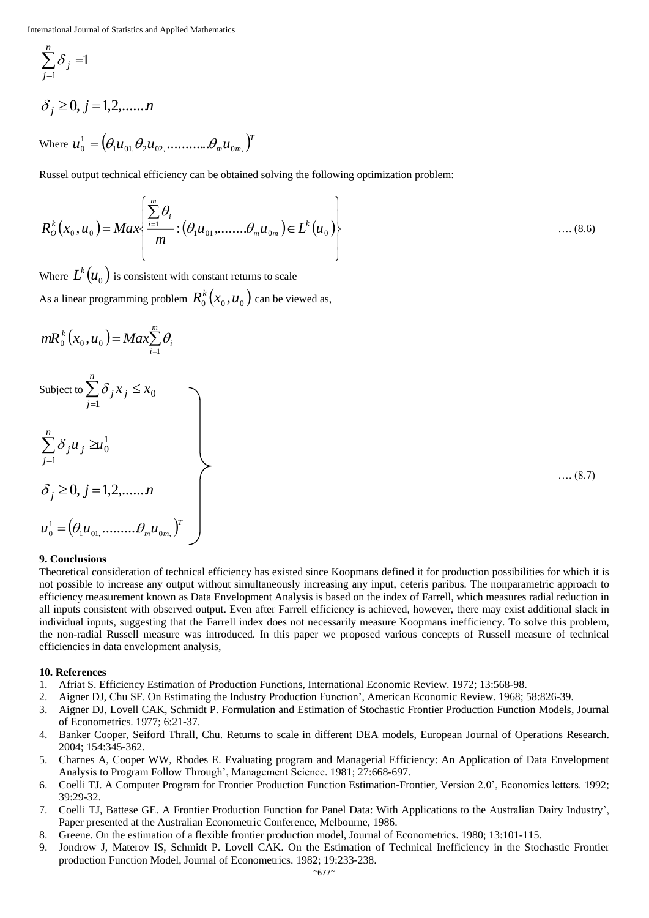$$
\sum_{j=1}^n \delta_j =1
$$

$$
\delta_j \ge 0, j = 1, 2, \dots, n
$$

Where  $u_0^1 = \left(\theta_1u_{01}\!,\theta_2u_{02}\!,\ldots\!,\ldots\!,\theta_mu_{0m}\!,\right)^T$  $\theta_0^1 = (\theta_1 u_{01} \theta_2 u_{02} \ldots \ldots \ldots \theta_n)$ 

Russel output technical efficiency can be obtained solving the following optimization problem:

$$
R_o^k(x_0, u_0) = Max \left\{ \frac{\sum_{i=1}^m \theta_i}{m} : (\theta_1 u_{01}, \dots, \theta_m u_{0m}) \in L^k(u_0) \right\} \dots (8.6)
$$

Where  $L^k(u_{0}^{\phantom{\dag}})$  is consistent with constant returns to scale As a linear programming problem  $R_0^k(x_0, u_0)$  can be viewed as,

$$
mR_0^k(x_0,u_0)=Max_{i=1}^m\theta_i
$$

*n*

Subject to  $\sum \delta_i x_i \leq x_0$ 1  $x : \leq x$ *j*  $\sum_{j=1} \delta_j x_j \leq$  $\delta$ 1 0 1 *u u n j*  $\sum_{j=1}$  $\delta_j u_j$  $\delta$  :  $u$  :  $\geq$  $\delta_j \geq 0, j = 1,2,......n$  $u_0^1 = (\theta_1 u_{01}, \dots, \theta_m u_{0m})^T$  $\theta_0^1 = (\theta_1 u_{01}, \dots, \theta_n)$ 

…. (8.7)

## **9. Conclusions**

Theoretical consideration of technical efficiency has existed since Koopmans defined it for production possibilities for which it is not possible to increase any output without simultaneously increasing any input, ceteris paribus*.* The nonparametric approach to efficiency measurement known as Data Envelopment Analysis is based on the index of Farrell, which measures radial reduction in all inputs consistent with observed output. Even after Farrell efficiency is achieved, however, there may exist additional slack in individual inputs, suggesting that the Farrell index does not necessarily measure Koopmans inefficiency. To solve this problem, the non-radial Russell measure was introduced. In this paper we proposed various concepts of Russell measure of technical efficiencies in data envelopment analysis,

## **10. References**

- 1. Afriat S. Efficiency Estimation of Production Functions, International Economic Review. 1972; 13:568-98.
- 2. Aigner DJ, Chu SF. On Estimating the Industry Production Function', American Economic Review. 1968; 58:826-39.
- 3. Aigner DJ, Lovell CAK, Schmidt P. Formulation and Estimation of Stochastic Frontier Production Function Models, Journal of Econometrics. 1977; 6:21-37.
- 4. Banker Cooper, Seiford Thrall, Chu. Returns to scale in different DEA models, European Journal of Operations Research. 2004; 154:345-362.
- 5. Charnes A, Cooper WW, Rhodes E. Evaluating program and Managerial Efficiency: An Application of Data Envelopment Analysis to Program Follow Through', Management Science. 1981; 27:668-697.
- 6. Coelli TJ. A Computer Program for Frontier Production Function Estimation-Frontier, Version 2.0', Economics letters. 1992; 39:29-32.
- 7. Coelli TJ, Battese GE. A Frontier Production Function for Panel Data: With Applications to the Australian Dairy Industry', Paper presented at the Australian Econometric Conference, Melbourne, 1986.
- 8. Greene. On the estimation of a flexible frontier production model, Journal of Econometrics. 1980; 13:101-115.
- 9. Jondrow J, Materov IS, Schmidt P. Lovell CAK. On the Estimation of Technical Inefficiency in the Stochastic Frontier production Function Model, Journal of Econometrics. 1982; 19:233-238.